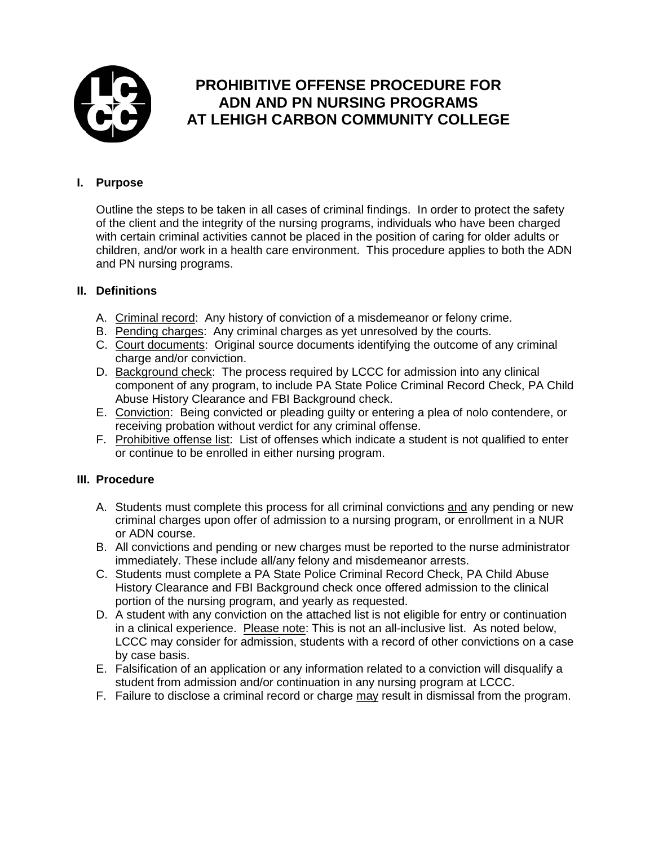

# **PROHIBITIVE OFFENSE PROCEDURE FOR ADN AND PN NURSING PROGRAMS AT LEHIGH CARBON COMMUNITY COLLEGE**

### **I. Purpose**

Outline the steps to be taken in all cases of criminal findings. In order to protect the safety of the client and the integrity of the nursing programs, individuals who have been charged with certain criminal activities cannot be placed in the position of caring for older adults or children, and/or work in a health care environment. This procedure applies to both the ADN and PN nursing programs.

### **II. Definitions**

- A. Criminal record: Any history of conviction of a misdemeanor or felony crime.
- B. Pending charges: Any criminal charges as yet unresolved by the courts.
- C. Court documents: Original source documents identifying the outcome of any criminal charge and/or conviction.
- D. Background check: The process required by LCCC for admission into any clinical component of any program, to include PA State Police Criminal Record Check, PA Child Abuse History Clearance and FBI Background check.
- E. Conviction: Being convicted or pleading guilty or entering a plea of nolo contendere, or receiving probation without verdict for any criminal offense.
- F. Prohibitive offense list: List of offenses which indicate a student is not qualified to enter or continue to be enrolled in either nursing program.

### **III. Procedure**

- A. Students must complete this process for all criminal convictions and any pending or new criminal charges upon offer of admission to a nursing program, or enrollment in a NUR or ADN course.
- B. All convictions and pending or new charges must be reported to the nurse administrator immediately. These include all/any felony and misdemeanor arrests.
- C. Students must complete a PA State Police Criminal Record Check, PA Child Abuse History Clearance and FBI Background check once offered admission to the clinical portion of the nursing program, and yearly as requested.
- D. A student with any conviction on the attached list is not eligible for entry or continuation in a clinical experience. Please note: This is not an all-inclusive list. As noted below, LCCC may consider for admission, students with a record of other convictions on a case by case basis.
- E. Falsification of an application or any information related to a conviction will disqualify a student from admission and/or continuation in any nursing program at LCCC.
- F. Failure to disclose a criminal record or charge may result in dismissal from the program.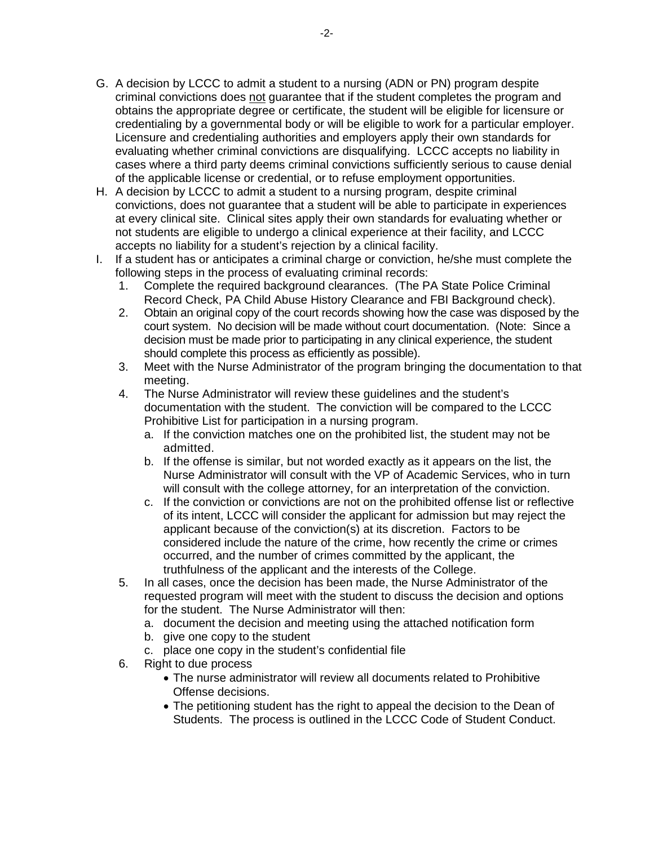- G. A decision by LCCC to admit a student to a nursing (ADN or PN) program despite criminal convictions does not guarantee that if the student completes the program and obtains the appropriate degree or certificate, the student will be eligible for licensure or credentialing by a governmental body or will be eligible to work for a particular employer. Licensure and credentialing authorities and employers apply their own standards for evaluating whether criminal convictions are disqualifying. LCCC accepts no liability in cases where a third party deems criminal convictions sufficiently serious to cause denial of the applicable license or credential, or to refuse employment opportunities.
- H. A decision by LCCC to admit a student to a nursing program, despite criminal convictions, does not guarantee that a student will be able to participate in experiences at every clinical site. Clinical sites apply their own standards for evaluating whether or not students are eligible to undergo a clinical experience at their facility, and LCCC accepts no liability for a student's rejection by a clinical facility.
- I. If a student has or anticipates a criminal charge or conviction, he/she must complete the following steps in the process of evaluating criminal records:
	- 1. Complete the required background clearances. (The PA State Police Criminal Record Check, PA Child Abuse History Clearance and FBI Background check).
	- 2. Obtain an original copy of the court records showing how the case was disposed by the court system. No decision will be made without court documentation. (Note: Since a decision must be made prior to participating in any clinical experience, the student should complete this process as efficiently as possible).
	- 3. Meet with the Nurse Administrator of the program bringing the documentation to that meeting.
	- 4. The Nurse Administrator will review these guidelines and the student's documentation with the student. The conviction will be compared to the LCCC Prohibitive List for participation in a nursing program.
		- a. If the conviction matches one on the prohibited list, the student may not be admitted.
		- b. If the offense is similar, but not worded exactly as it appears on the list, the Nurse Administrator will consult with the VP of Academic Services, who in turn will consult with the college attorney, for an interpretation of the conviction.
		- c. If the conviction or convictions are not on the prohibited offense list or reflective of its intent, LCCC will consider the applicant for admission but may reject the applicant because of the conviction(s) at its discretion. Factors to be considered include the nature of the crime, how recently the crime or crimes occurred, and the number of crimes committed by the applicant, the truthfulness of the applicant and the interests of the College.
	- 5. In all cases, once the decision has been made, the Nurse Administrator of the requested program will meet with the student to discuss the decision and options for the student. The Nurse Administrator will then:
		- a. document the decision and meeting using the attached notification form
		- b. give one copy to the student
		- c. place one copy in the student's confidential file
	- 6. Right to due process
		- The nurse administrator will review all documents related to Prohibitive Offense decisions.
		- The petitioning student has the right to appeal the decision to the Dean of Students. The process is outlined in the LCCC Code of Student Conduct.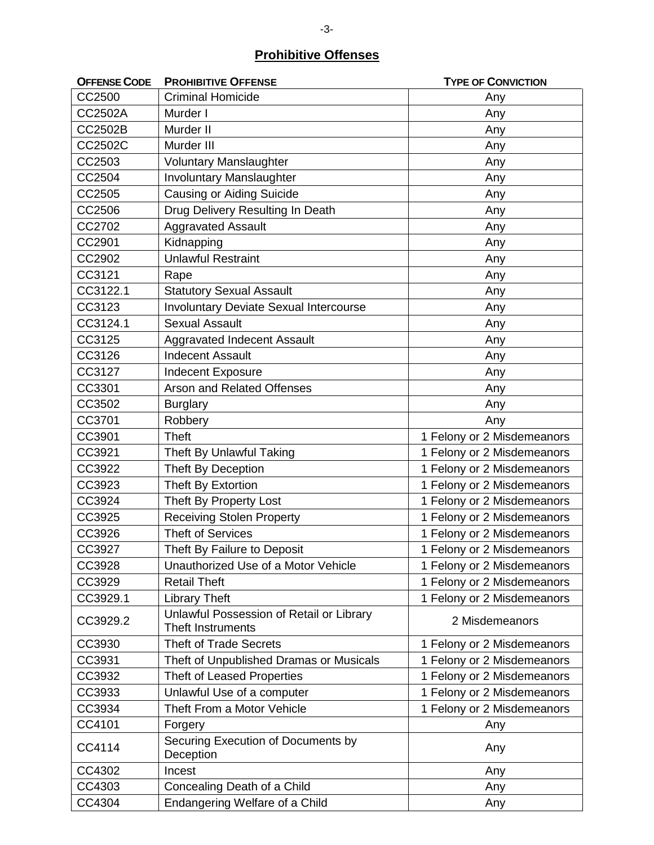## **Prohibitive Offenses**

| <b>OFFENSE CODE</b> | <b>PROHIBITIVE OFFENSE</b>                                    | <b>TYPE OF CONVICTION</b>  |
|---------------------|---------------------------------------------------------------|----------------------------|
| CC2500              | <b>Criminal Homicide</b>                                      | Any                        |
| CC2502A             | Murder I                                                      | Any                        |
| CC2502B             | Murder II                                                     | Any                        |
| CC2502C             | Murder III                                                    | Any                        |
| CC2503              | <b>Voluntary Manslaughter</b>                                 | Any                        |
| CC2504              | <b>Involuntary Manslaughter</b>                               | Any                        |
| CC2505              | Causing or Aiding Suicide                                     | Any                        |
| CC2506              | Drug Delivery Resulting In Death                              | Any                        |
| CC2702              | <b>Aggravated Assault</b>                                     | Any                        |
| CC2901              | Kidnapping                                                    | Any                        |
| CC2902              | <b>Unlawful Restraint</b>                                     | Any                        |
| CC3121              | Rape                                                          | Any                        |
| CC3122.1            | <b>Statutory Sexual Assault</b>                               | Any                        |
| CC3123              | <b>Involuntary Deviate Sexual Intercourse</b>                 | Any                        |
| CC3124.1            | <b>Sexual Assault</b>                                         | Any                        |
| CC3125              | Aggravated Indecent Assault                                   | Any                        |
| CC3126              | <b>Indecent Assault</b>                                       | Any                        |
| CC3127              | Indecent Exposure                                             | Any                        |
| CC3301              | Arson and Related Offenses                                    | Any                        |
| CC3502              | <b>Burglary</b>                                               | Any                        |
| CC3701              | Robbery                                                       | Any                        |
| CC3901              | <b>Theft</b>                                                  | 1 Felony or 2 Misdemeanors |
| CC3921              | Theft By Unlawful Taking                                      | 1 Felony or 2 Misdemeanors |
| CC3922              | Theft By Deception                                            | 1 Felony or 2 Misdemeanors |
| CC3923              | Theft By Extortion                                            | 1 Felony or 2 Misdemeanors |
| CC3924              | Theft By Property Lost                                        | 1 Felony or 2 Misdemeanors |
| CC3925              | <b>Receiving Stolen Property</b>                              | 1 Felony or 2 Misdemeanors |
| CC3926              | <b>Theft of Services</b>                                      | 1 Felony or 2 Misdemeanors |
| CC3927              | Theft By Failure to Deposit                                   | 1 Felony or 2 Misdemeanors |
| CC3928              | Unauthorized Use of a Motor Vehicle                           | 1 Felony or 2 Misdemeanors |
| CC3929              | <b>Retail Theft</b>                                           | 1 Felony or 2 Misdemeanors |
| CC3929.1            | <b>Library Theft</b>                                          | 1 Felony or 2 Misdemeanors |
| CC3929.2            | Unlawful Possession of Retail or Library<br>Theft Instruments | 2 Misdemeanors             |
| CC3930              | <b>Theft of Trade Secrets</b>                                 | 1 Felony or 2 Misdemeanors |
| CC3931              | Theft of Unpublished Dramas or Musicals                       | 1 Felony or 2 Misdemeanors |
| CC3932              | Theft of Leased Properties                                    | 1 Felony or 2 Misdemeanors |
| CC3933              | Unlawful Use of a computer                                    | 1 Felony or 2 Misdemeanors |
| CC3934              | Theft From a Motor Vehicle                                    | 1 Felony or 2 Misdemeanors |
| CC4101              | Forgery                                                       | Any                        |
| CC4114              | Securing Execution of Documents by<br>Deception               | Any                        |
| CC4302              | Incest                                                        | Any                        |
| CC4303              | Concealing Death of a Child                                   | Any                        |
| CC4304              | Endangering Welfare of a Child                                | Any                        |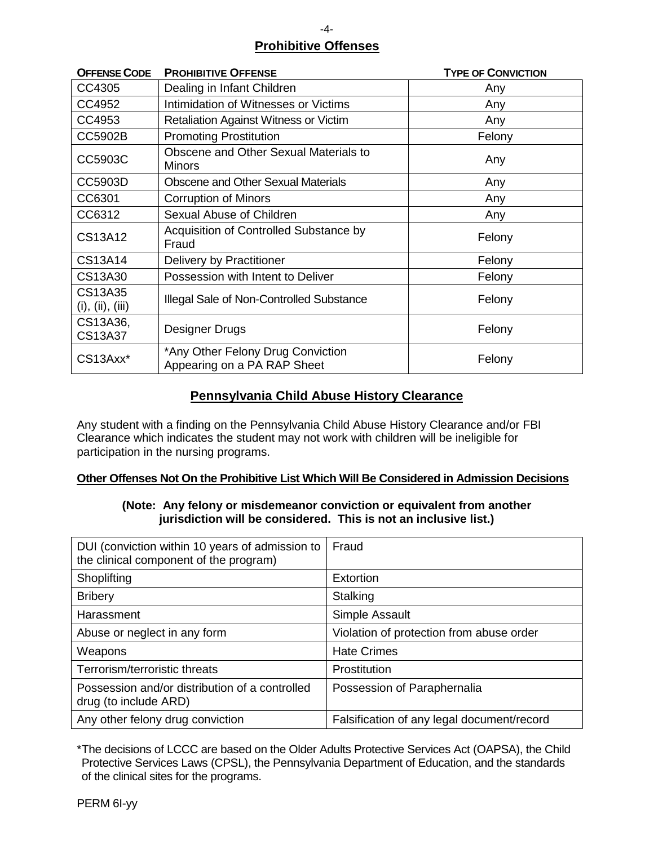# **Prohibitive Offenses**

| <b>OFFENSE CODE</b>         | <b>PROHIBITIVE OFFENSE</b>                                       | <b>TYPE OF CONVICTION</b> |
|-----------------------------|------------------------------------------------------------------|---------------------------|
| CC4305                      | Dealing in Infant Children                                       | Any                       |
| CC4952                      | Intimidation of Witnesses or Victims                             | Any                       |
| CC4953                      | <b>Retaliation Against Witness or Victim</b>                     | Any                       |
| CC5902B                     | <b>Promoting Prostitution</b>                                    | Felony                    |
| CC5903C                     | Obscene and Other Sexual Materials to<br><b>Minors</b>           | Any                       |
| CC5903D                     | <b>Obscene and Other Sexual Materials</b>                        | Any                       |
| CC6301                      | <b>Corruption of Minors</b>                                      | Any                       |
| CC6312                      | Sexual Abuse of Children                                         | Any                       |
| CS13A12                     | Acquisition of Controlled Substance by<br>Fraud                  | Felony                    |
| CS13A14                     | Delivery by Practitioner                                         | Felony                    |
| CS13A30                     | Possession with Intent to Deliver                                | Felony                    |
| CS13A35<br>(i), (ii), (iii) | Illegal Sale of Non-Controlled Substance                         | Felony                    |
| CS13A36,<br>CS13A37         | Designer Drugs                                                   | Felony                    |
| CS13Axx*                    | *Any Other Felony Drug Conviction<br>Appearing on a PA RAP Sheet | Felony                    |

### **Pennsylvania Child Abuse History Clearance**

Any student with a finding on the Pennsylvania Child Abuse History Clearance and/or FBI Clearance which indicates the student may not work with children will be ineligible for participation in the nursing programs.

### **Other Offenses Not On the Prohibitive List Which Will Be Considered in Admission Decisions**

#### **(Note: Any felony or misdemeanor conviction or equivalent from another jurisdiction will be considered. This is not an inclusive list.)**

| DUI (conviction within 10 years of admission to<br>the clinical component of the program) | Fraud                                      |
|-------------------------------------------------------------------------------------------|--------------------------------------------|
| Shoplifting                                                                               | Extortion                                  |
| <b>Bribery</b>                                                                            | Stalking                                   |
| Harassment                                                                                | Simple Assault                             |
| Abuse or neglect in any form                                                              | Violation of protection from abuse order   |
| Weapons                                                                                   | <b>Hate Crimes</b>                         |
| Terrorism/terroristic threats                                                             | Prostitution                               |
| Possession and/or distribution of a controlled<br>drug (to include ARD)                   | Possession of Paraphernalia                |
| Any other felony drug conviction                                                          | Falsification of any legal document/record |

\*The decisions of LCCC are based on the Older Adults Protective Services Act (OAPSA), the Child Protective Services Laws (CPSL), the Pennsylvania Department of Education, and the standards of the clinical sites for the programs.